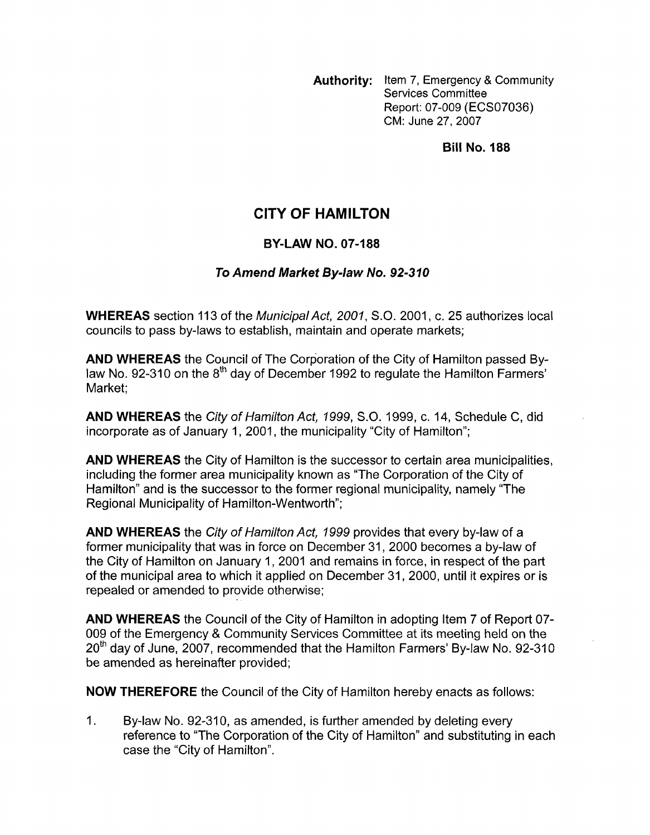**Authority:** Item 7, Emergency & Community Services Committee Report: 07-009 (ECS07036) CM: June 27,2007

**Bill No. 188** 

## **CITY OF HAMILTON**

## **BY-LAW NO. 07-188**

## *To Amend Market By-law No. 92-310*

**WHEREAS** section 113 of the *MunicipalAct, 2001,* S.O. 2001, c. 25 authorizes local councils to pass by-laws to establish, maintain and operate markets;

**AND WHEREAS** the Council of The Corporation of the City of Hamilton passed Bylaw No. 92-310 on the  $8<sup>th</sup>$  day of December 1992 to regulate the Hamilton Farmers' Market;

**AND WHEREAS** the *City of Hamilton Act, 1999, S.O.* 1999, c. 14, Schedule C, did incorporate as of January 1, 2001, the municipality "City of Hamilton";

**AND WHEREAS** the City of Hamilton is the successor to certain area municipalities, including the former area municipality known as "The Corporation of the City of Hamilton" and is the successor to the former regional municipality, namely "The Regional Municipality of Hamilton-Wentworth";

**AND WHEREAS** the *City of Hamilton Act, 1999* provides that every by-law of a former municipality that was in force on December 31, 2000 becomes a by-law of the City of Hamilton on January 1, 2001 and remains in force, in respect of the part of the municipal area to which it applied on December 31, 2000, until it expires or is repealed or amended to provide otherwise;

**AND WHEREAS** the Council of the City of Hamilton in adopting Item 7 of Report 07- 009 of the Emergency & Community Services Committee at its meeting held on the  $20<sup>th</sup>$  day of June, 2007, recommended that the Hamilton Farmers' By-law No. 92-310 be amended as hereinafter provided;

**NOW THEREFORE** the Council of the City of Hamilton hereby enacts as follows:

1. By-law No. 92-310, as amended, is further amended by deleting every reference to "The Corporation of the City of Hamilton" and substituting in each case the "City of Hamilton".